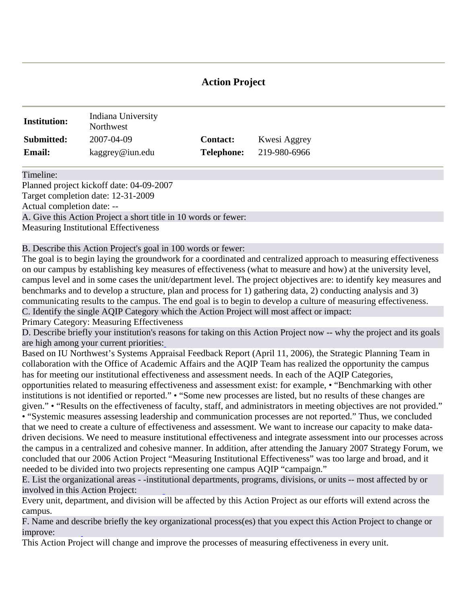# **Action Project**

| <b>Institution:</b> | Indiana University<br>Northwest |                   |              |
|---------------------|---------------------------------|-------------------|--------------|
| Submitted:          | 2007-04-09                      | <b>Contact:</b>   | Kwesi Aggrey |
| <b>Email:</b>       | kaggrey@iun.edu                 | <b>Telephone:</b> | 219-980-6966 |

Timeline:

Planned project kickoff date: 04-09-2007 Target completion date: 12-31-2009 Actual completion date: -- A. Give this Action Project a short title in 10 words or fewer: Measuring Institutional Effectiveness

B. Describe this Action Project's goal in 100 words or fewer:

The goal is to begin laying the groundwork for a coordinated and centralized approach to measuring effectiveness on our campus by establishing key measures of effectiveness (what to measure and how) at the university level, campus level and in some cases the unit/department level. The project objectives are: to identify key measures and benchmarks and to develop a structure, plan and process for 1) gathering data, 2) conducting analysis and 3) communicating results to the campus. The end goal is to begin to develop a culture of measuring effectiveness. C. Identify the single AQIP Category which the Action Project will most affect or impact:

Primary Category: Measuring Effectiveness

D. Describe briefly your institution's r[ea](http://www.aqip.org/actionproject/Help.php?helptext=1)sons for taking on this Action Project now -- why the project and its goals are high among your current priorities:

Based on IU Northwest's Systems Appraisal Feedback Report (April 11, 2006), the Strategic Planning Team in collaboration with the Office of Academic Affairs and the AQIP Team has realized the opportunity the campus has for meeting our institution[al effecti](http://www.aqip.org/actionproject/Help.php?helptext=2)veness and assessment needs. In each of the AQIP Categories, opportunities related to measuring effectiveness and assessment exist: for example, • "Benchmarking with other institutions is not identified or reported." • "Some new processes are listed, but no results of these changes are given." • "Results on the effectiveness of faculty, staff, and administrators in meeting objectives are not provided." • "Syste[mic meas](http://www.aqip.org/actionproject/Help.php?helptext=3)ures assessing leadership and communication processes are not reported." Thus, we concluded that we need to create a culture of effectiveness and assessment. We want to increase our capacity to make datadriven decisions. We need to measure institutional effectiveness and integrate assessment into our processes across the campus in a centralized and cohesive manner. In addition, after attending the January 2007 Strategy Forum, we concluded that our 2006 Action Project "Measuring Institutional Effectiveness" was too large and broad, and it needed to be divided into two projects representing one campus AQIP "campaign."

E. List the organizational areas - -insti[tu](http://www.aqip.org/actionproject/Help.php?helptext=2)tional departments, programs, divisions, or units -- most affected by or involved in this Action Project:

Every unit, department, and division will be affected by this Action Project as our efforts will extend across the campus.

F. Name and de[s](http://www.aqip.org/actionproject/Help.php?helptext=3)cribe briefly the key organizational process(es) that you expect this Action Project to change or improve:

This Action Project will change and improve the processes of measuring effectiveness in every unit.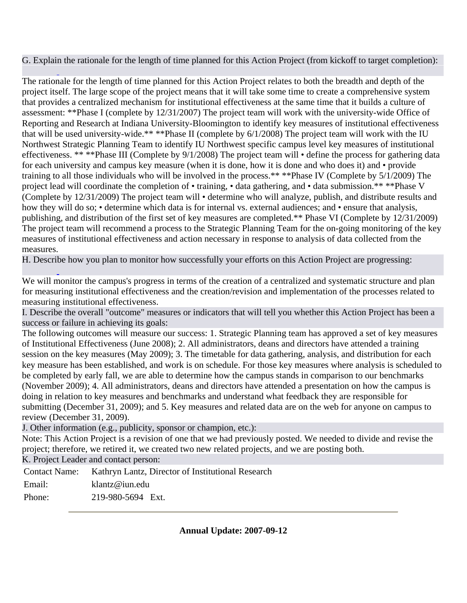G. Explai[n](http://www.aqip.org/actionproject/Help.php?helptext=4) the rationale for the length of time planned for this Action Project (from kickoff to target completion):

The rationale for the length of time planned for this Action Project relates to both the breadth and depth of the project itself. The large scope of the project means that it will take some time to create a comprehensive system that provides a centralized mechanism for institutional effectiveness at the same time that it builds a culture of assessment: \*\*Phase I (complete by 12/31/2007) The project team will work with the university-wide Office of Reporting and Research at Indiana University-Bloomington to identify key measures of institutional effectiveness that will be used university-wide.\*\* \*\*Phase II (complete by 6/1/2008) The project team will work with the IU Northwest Strategic Planning Team to identify IU Northwest specific campus level key measures of institutional effectiveness. \*\* \*\*Phase III (Complete by 9/1/2008) The project team will • define the process for gathering data for each university and campus key measure (when it is done, how it is done and who does it) and • provide training to all those individuals who will be involved in the process.\*\* \*\*Phase IV (Complete by 5/1/2009) The project lead will coordinate the completion of • training, • data gathering, and • data submission.\*\* \*\*Phase V (Complete by 12/31/2009) The project team will • determine who will analyze, publish, and distribute results and how they will do so; • determine which data is for internal vs. external audiences; and • ensure that analysis, p[ublishing](http://www.aqip.org/actionproject/Help.php?helptext=5), and distribution of the first set of key measures are completed.\*\* Phase VI (Complete by 12/31/2009) The project team will recommend a process to the Strategic Planning Team for the on-going monitoring of the key measures of institutional effectiveness and action necessary in response to analysis of data collected from the measures.

H. Descri[b](http://www.aqip.org/actionproject/Help.php?helptext=5)e how you plan to monitor ho[w success](http://www.aqip.org/actionproject/Help.php?helptext=7)fully your efforts on this Action Project are progressing:

We will monitor the campus's progress in terms of the creation of a centralized and systematic structure and plan for measuring institutional effectiveness and the creation/revision and implementation of the processes related to measuring institutional effectiveness.

I. Describe the overall "outcome" measures or indicators that will tell you whether this Action Project has been a success or failure in achieving its goals:

The following outcomes will measure our success: 1. Strategic Planning team has approved a set of key measures of Institutional Effectiveness (June 2008); 2. All administrators, deans and directors have attended a training session on the key measures (May 2009); 3. The timetable for data gathering, analysis, and distribution for each key measure has been established, and work is on schedule. For those key measures where analysis is scheduled to be completed by early fall, we are able to determine how the cam[pus stand](http://www.aqip.org/actionproject/Help.php?helptext=7)s in comparison to our benchmarks (November 2009); 4. All administrators, deans and directors have attended a presentation on how the campus is doing in relation to key measures and benchmarks and understand what feedback they are responsible for submitting (December 31, 2009); and 5[. Key me](http://www.aqip.org/actionproject/Help.php?helptext=8)asures and related data are on the web for anyone on campus to review (December 31, 2009).

J. Other information (e.g., publicity, sponsor or champion, etc.):

Note: This Action Project is a revision of one that we had previously posted. We needed to divide and revise the project; therefore, we retired it, we created two new related projects, and we are posting both.

K. Project Leader and contact person:

Contact Name: Kathryn Lantz, Director of Institutional Research

Email: klantz@iun.edu

Phone: 219-980-5694 Ext.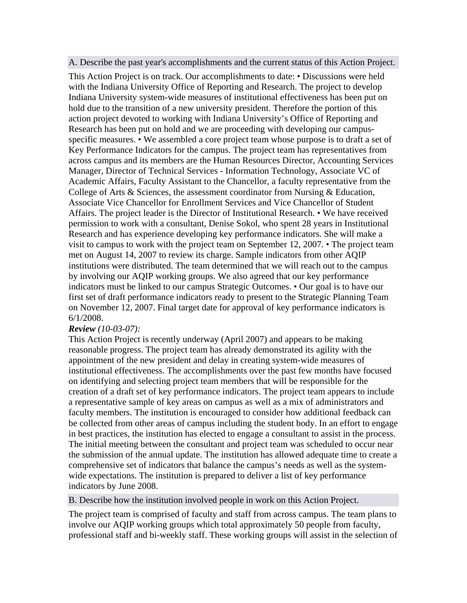A. Describe the past year's accomplishments and the current status of this Action Project.

This Action Project is on track. Our accomplishments to date: • Discussions were held with the Indiana University Office of Reporting and Research. The project to develop Indiana University system-wide measures of institutional effectiveness has been put on hold due to the transition of a new university president. Therefore the portion of this action project devoted to working with Indiana University's Office of Reporting and Research has been put on hold and we are proceeding with developing our campusspecific measures. • We assembled a core project team whose purpose is to draft a set of Key Performance Indicators for the campus. The project team has representatives from across campus and its members are the Human Resources Director, Accounting Services Manager, Director of Technical Services - Information Technology, Associate VC of Academic Affairs, Faculty Assistant to the Chancellor, a faculty representative from the College of Arts & Sciences, the assessment coordinator from Nursing & Education, Associate Vice Chancellor for Enrollment Services and Vice Chancellor of Student Affairs. The project leader is the Director of Institutional Research. • We have received permission to work with a consultant, Denise Sokol, who spent 28 years in Institutional Research and has experience developing key performance indicators. She will make a visit to campus to work with the project team on September 12, 2007. • The project team met on August 14, 2007 to review its charge. Sample indicators from other AQIP institutions were distributed. The team determined that we will reach out to the campus by involving our AQIP working groups. We also agreed that our key performance indicators must be linked to our campus Strategic Outcomes. • Our goal is to have our first set of draft performance indicators ready to present to the Strategic Planning Team on November 12, 2007. Final target date for approval of key performance indicators is 6/1/2008.

## *Review (10-03-07):*

This Action Project is recently underway (April 2007) and appears to be making reasonable progress. The project team has already demonstrated its agility with the appointment of the new president and delay in creating system-wide measures of institutional effectiveness. The accomplishments over the past few months have focused on identifying and selecting project team members that will be responsible for the creation of a draft set of key performance indicators. The project team appears to include a representative sample of key areas on campus as well as a mix of administrators and faculty members. The institution is encouraged to consider how additional feedback can be collected from other areas of campus including the student body. In an effort to engage in best practices, the institution has elected to engage a consultant to assist in the process. The initial meeting between the consultant and project team was scheduled to occur near the submission of the annual update. The institution has allowed adequate time to create a comprehensive set of indicators that balance the campus's needs as well as the systemwide expectations. The institution is prepared to deliver a list of key performance indicators by June 2008.

B. Describe how the institution involved people in work on this Action Project.

The project team is comprised of faculty and staff from across campus. The team plans to involve our AQIP working groups which total approximately 50 people from faculty, professional staff and bi-weekly staff. These working groups will assist in the selection of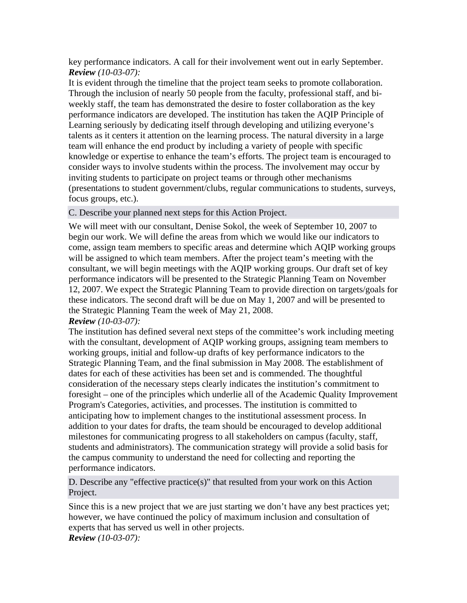key performance indicators. A call for their involvement went out in early September. *Review (10-03-07):*

It is evident through the timeline that the project team seeks to promote collaboration. Through the inclusion of nearly 50 people from the faculty, professional staff, and biweekly staff, the team has demonstrated the desire to foster collaboration as the key performance indicators are developed. The institution has taken the AQIP Principle of Learning seriously by dedicating itself through developing and utilizing everyone's talents as it centers it attention on the learning process. The natural diversity in a large team will enhance the end product by including a variety of people with specific knowledge or expertise to enhance the team's efforts. The project team is encouraged to consider ways to involve students within the process. The involvement may occur by inviting students to participate on project teams or through other mechanisms (presentations to student government/clubs, regular communications to students, surveys, focus groups, etc.).

C. Describe your planned next steps for this Action Project.

We will meet with our consultant, Denise Sokol, the week of September 10, 2007 to begin our work. We will define the areas from which we would like our indicators to come, assign team members to specific areas and determine which AQIP working groups will be assigned to which team members. After the project team's meeting with the consultant, we will begin meetings with the AQIP working groups. Our draft set of key performance indicators will be presented to the Strategic Planning Team on November 12, 2007. We expect the Strategic Planning Team to provide direction on targets/goals for these indicators. The second draft will be due on May 1, 2007 and will be presented to the Strategic Planning Team the week of May 21, 2008. *Review (10-03-07):*

The institution has defined several next steps of the committee's work including meeting with the consultant, development of AQIP working groups, assigning team members to working groups, initial and follow-up drafts of key performance indicators to the Strategic Planning Team, and the final submission in May 2008. The establishment of dates for each of these activities has been set and is commended. The thoughtful consideration of the necessary steps clearly indicates the institution's commitment to foresight – one of the principles which underlie all of the Academic Quality Improvement Program's Categories, activities, and processes. The institution is committed to anticipating how to implement changes to the institutional assessment process. In addition to your dates for drafts, the team should be encouraged to develop additional milestones for communicating progress to all stakeholders on campus (faculty, staff, students and administrators). The communication strategy will provide a solid basis for the campus community to understand the need for collecting and reporting the performance indicators.

D. Describe any "effective practice(s)" that resulted from your work on this Action Project.

Since this is a new project that we are just starting we don't have any best practices yet; however, we have continued the policy of maximum inclusion and consultation of experts that has served us well in other projects. *Review (10-03-07):*